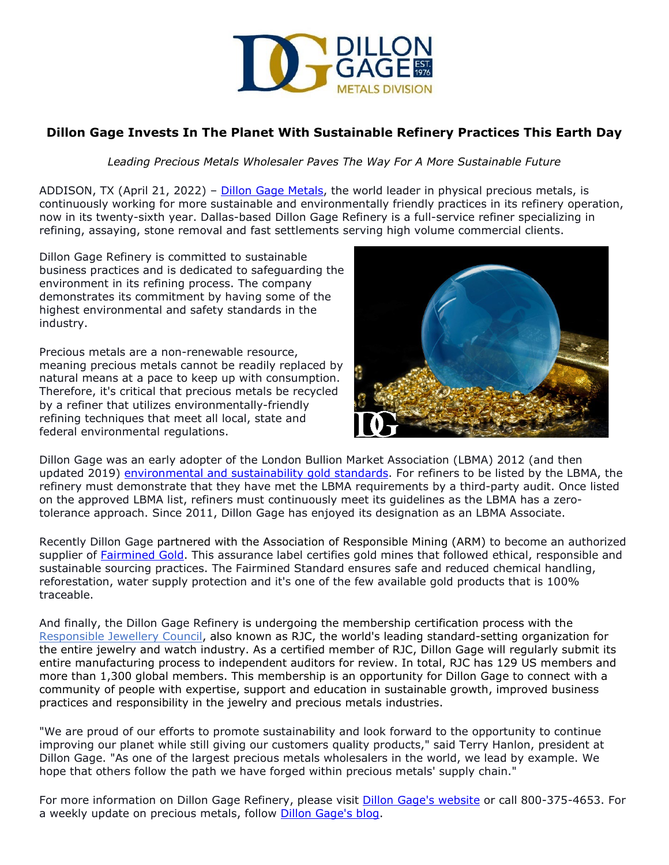

## **Dillon Gage Invests In The Planet With Sustainable Refinery Practices This Earth Day**

*Leading Precious Metals Wholesaler Paves The Way For A More Sustainable Future*

ADDISON, TX (April 21, 2022) – [Dillon Gage Metals,](https://dillongage.com/precious-metals-refining/?utm_source=dillon+gage+earth+day+release&utm_medium=press+release&utm_campaign=earth+day&utm_content=dillon+gage+hyperlink+1) the world leader in physical precious metals, is continuously working for more sustainable and environmentally friendly practices in its refinery operation, now in its twenty-sixth year. Dallas-based Dillon Gage Refinery is a full-service refiner specializing in refining, assaying, stone removal and fast settlements serving high volume commercial clients.

Dillon Gage Refinery is committed to sustainable business practices and is dedicated to safeguarding the environment in its refining process. The company demonstrates its commitment by having some of the highest environmental and safety standards in the industry.

Precious metals are a non-renewable resource, meaning precious metals cannot be readily replaced by natural means at a pace to keep up with consumption. Therefore, it's critical that precious metals be recycled by a refiner that utilizes environmentally-friendly refining techniques that meet all local, state and federal environmental regulations.



Dillon Gage was an early adopter of the London Bullion Market Association (LBMA) 2012 (and then updated 2019) [environmental and sustainability gold standards.](https://www.lbma.org.uk/publications/responsible-gold-guidance-v9) For refiners to be listed by the LBMA, the refinery must demonstrate that they have met the LBMA requirements by a third-party audit. Once listed on the approved LBMA list, refiners must continuously meet its guidelines as the LBMA has a zerotolerance approach. Since 2011, Dillon Gage has enjoyed its designation as an LBMA Associate.

Recently Dillon Gage partnered with the Association of Responsible Mining (ARM) to become an authorized supplier of [Fairmined](https://dillongage.com/blog/dillon-gage-joins-forces-with-fairmined-to-sell-responsibly-mined-gold/?utm_source=dillon+gage+earth+day+release&utm_medium=press+release&utm_campaign=earth+day&utm_content=fairmined+partnership+hyperlink) Gold. This assurance label certifies gold mines that followed ethical, responsible and sustainable sourcing practices. The Fairmined Standard ensures safe and reduced chemical handling, reforestation, water supply protection and it's one of the few available gold products that is 100% traceable.

And finally, the Dillon Gage Refinery is undergoing the membership certification process with the [Responsible Jewellery Council,](https://www.responsiblejewellery.com/) also known as RJC, the world's leading standard-setting organization for the entire jewelry and watch industry. As a certified member of RJC, Dillon Gage will regularly submit its entire manufacturing process to independent auditors for review. In total, RJC has 129 US members and more than 1,300 global members. This membership is an opportunity for Dillon Gage to connect with a community of people with expertise, support and education in sustainable growth, improved business practices and responsibility in the jewelry and precious metals industries.

"We are proud of our efforts to promote sustainability and look forward to the opportunity to continue improving our planet while still giving our customers quality products," said Terry Hanlon, president at Dillon Gage. "As one of the largest precious metals wholesalers in the world, we lead by example. We hope that others follow the path we have forged within precious metals' supply chain."

For more information on Dillon Gage Refinery, please visit [Dillon Gage's website](https://dillongage.com/precious-metals-refining/?utm_source=dillon+gage+earth+day+release&utm_medium=press+release&utm_campaign=earth+day&utm_content=dillon+gage+website+hyperlink) or call 800-375-4653. For a weekly update on precious metals, follow [Dillon Gage's blog.](https://dillongage.com/category/blog/?utm_source=dillon+gage+earth+day+release&utm_medium=press+release&utm_campaign=earth+day&utm_content=dillon+gage+blog+hyperlink)